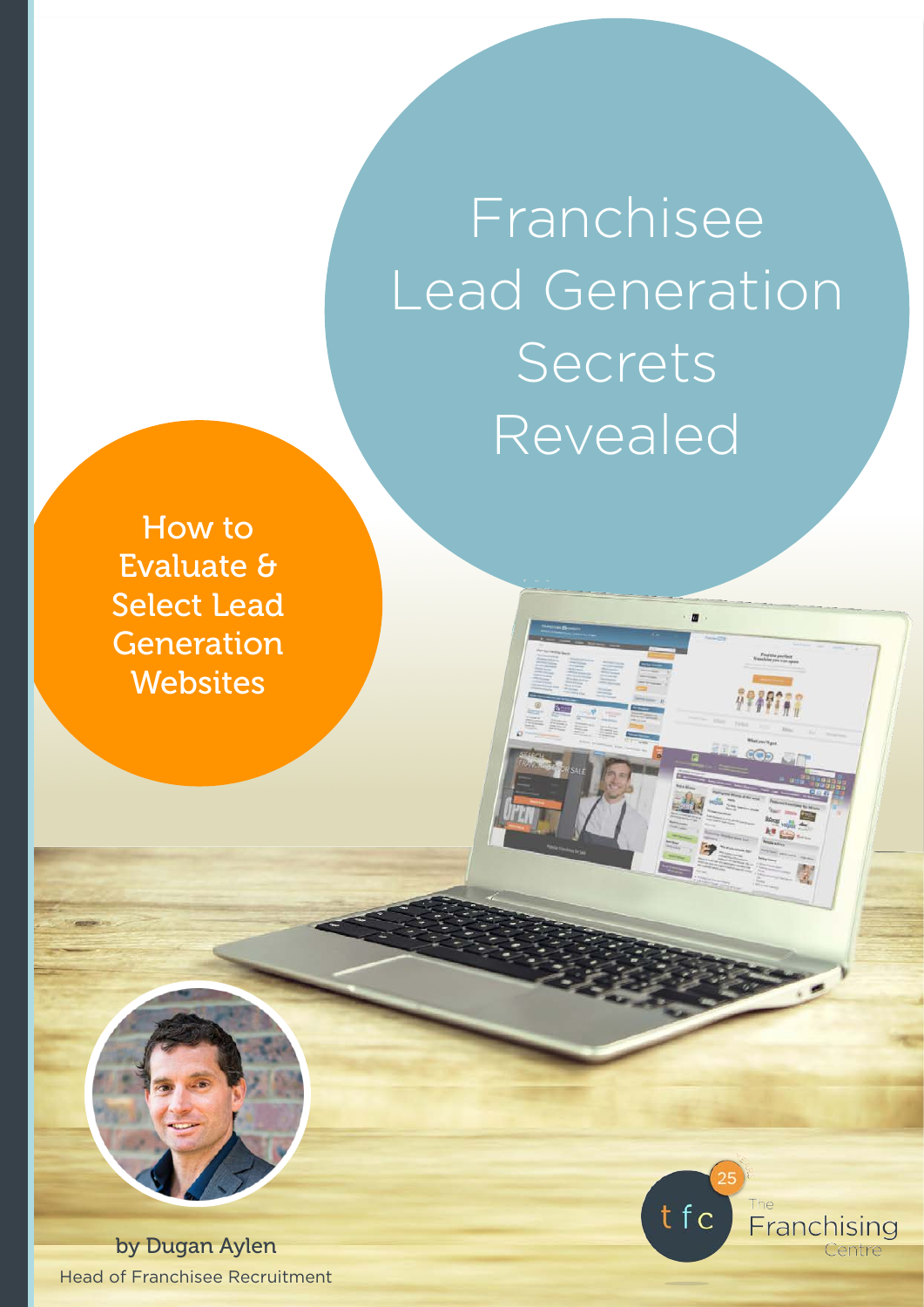Franchisee Lead Generation Secrets Revealed

How to Evaluate & Select Lead Generation **Websites** 

by Dugan Aylen Head of Franchisee Recruitment

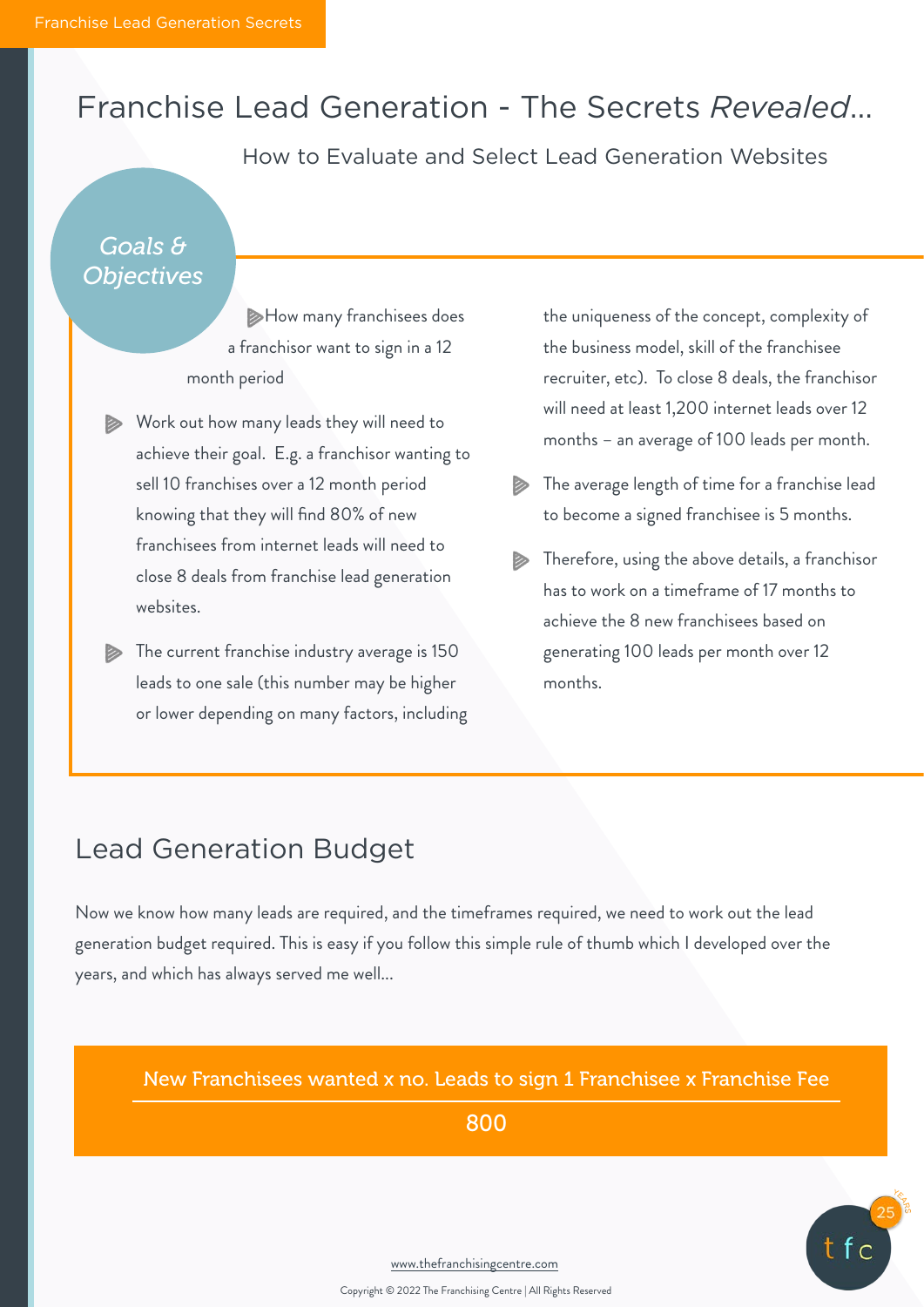# Franchise Lead Generation - The Secrets *Revealed*...

How to Evaluate and Select Lead Generation Websites

### *Goals & Objectives*

How many franchisees does a franchisor want to sign in a 12 month period

- Work out how many leads they will need to achieve their goal. E.g. a franchisor wanting to sell 10 franchises over a 12 month period knowing that they will find 80% of new franchisees from internet leads will need to close 8 deals from franchise lead generation websites.
- The current franchise industry average is 150 leads to one sale (this number may be higher or lower depending on many factors, including

the uniqueness of the concept, complexity of the business model, skill of the franchisee recruiter, etc). To close 8 deals, the franchisor will need at least 1,200 internet leads over 12 months – an average of 100 leads per month.

- The average length of time for a franchise lead to become a signed franchisee is 5 months.
- **EXED:** Therefore, using the above details, a franchisor has to work on a timeframe of 17 months to achieve the 8 new franchisees based on generating 100 leads per month over 12 months.

## Lead Generation Budget

Now we know how many leads are required, and the timeframes required, we need to work out the lead generation budget required. This is easy if you follow this simple rule of thumb which I developed over the years, and which has always served me well...

#### New Franchisees wanted x no. Leads to sign 1 Franchisee x Franchise Fee

800

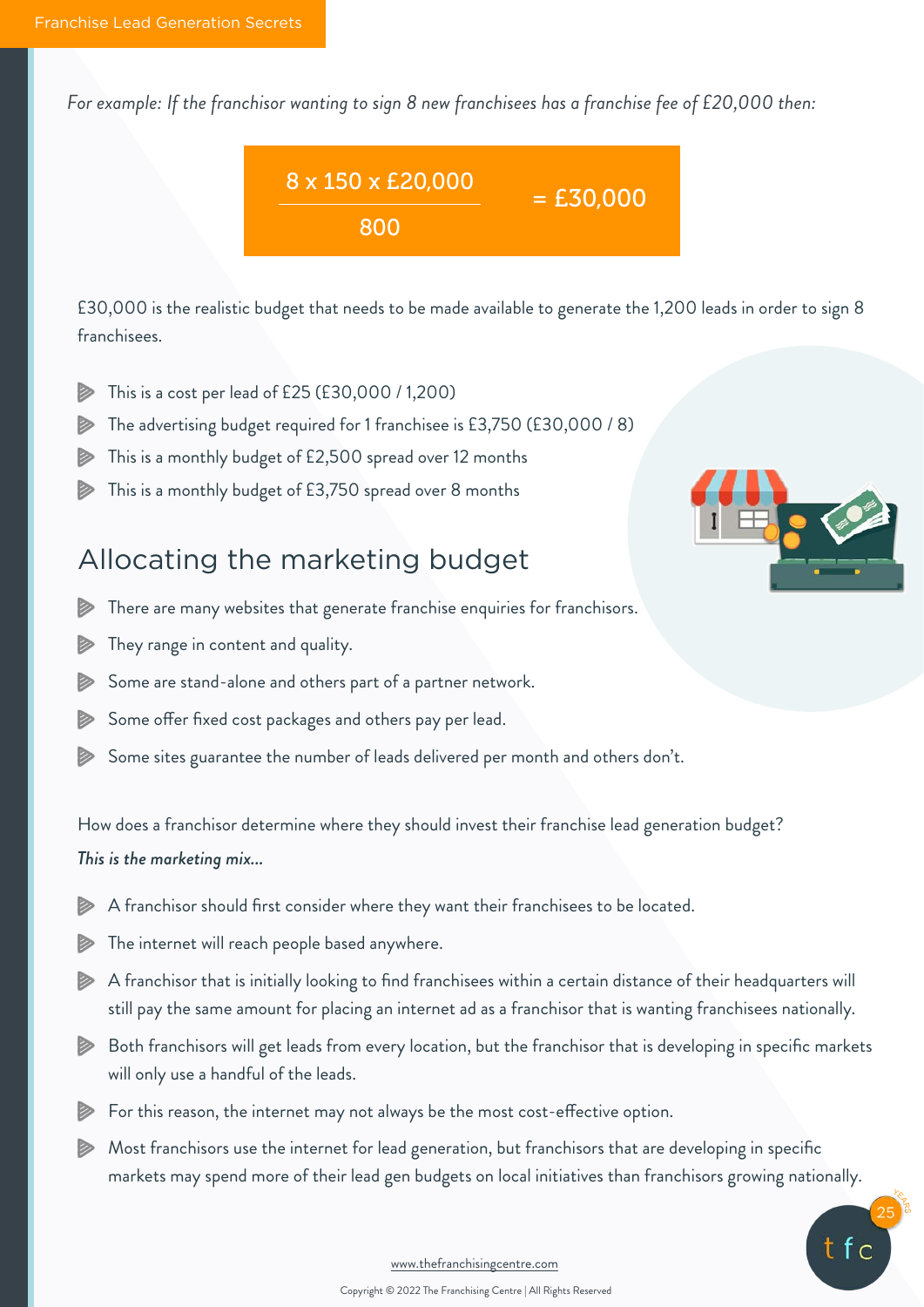*For example: If the franchisor wanting to sign 8 new franchisees has a franchise fee of £20,000 then:*



£30,000 is the realistic budget that needs to be made available to generate the 1,200 leads in order to sign 8 franchisees.

- This is a cost per lead of £25 (£30,000 / 1,200)
- The advertising budget required for 1 franchisee is £3,750 (£30,000 / 8)
- This is a monthly budget of £2,500 spread over 12 months
- This is a monthly budget of £3,750 spread over 8 months

### Allocating the marketing budget

- There are many websites that generate franchise enquiries for franchisors.
- They range in content and quality.
- Some are stand-alone and others part of a partner network.
- Some offer fixed cost packages and others pay per lead.
- Some sites guarantee the number of leads delivered per month and others don't.

How does a franchisor determine where they should invest their franchise lead generation budget? *This is the marketing mix...*

- A franchisor should first consider where they want their franchisees to be located.
- The internet will reach people based anywhere.
- A franchisor that is initially looking to find franchisees within a certain distance of their headquarters will still pay the same amount for placing an internet ad as a franchisor that is wanting franchisees nationally.
- Both franchisors will get leads from every location, but the franchisor that is developing in specific markets will only use a handful of the leads.
- For this reason, the internet may not always be the most cost-effective option.
- Most franchisors use the internet for lead generation, but franchisors that are developing in specific markets may spend more of their lead gen budgets on local initiatives than franchisors growing nationally.

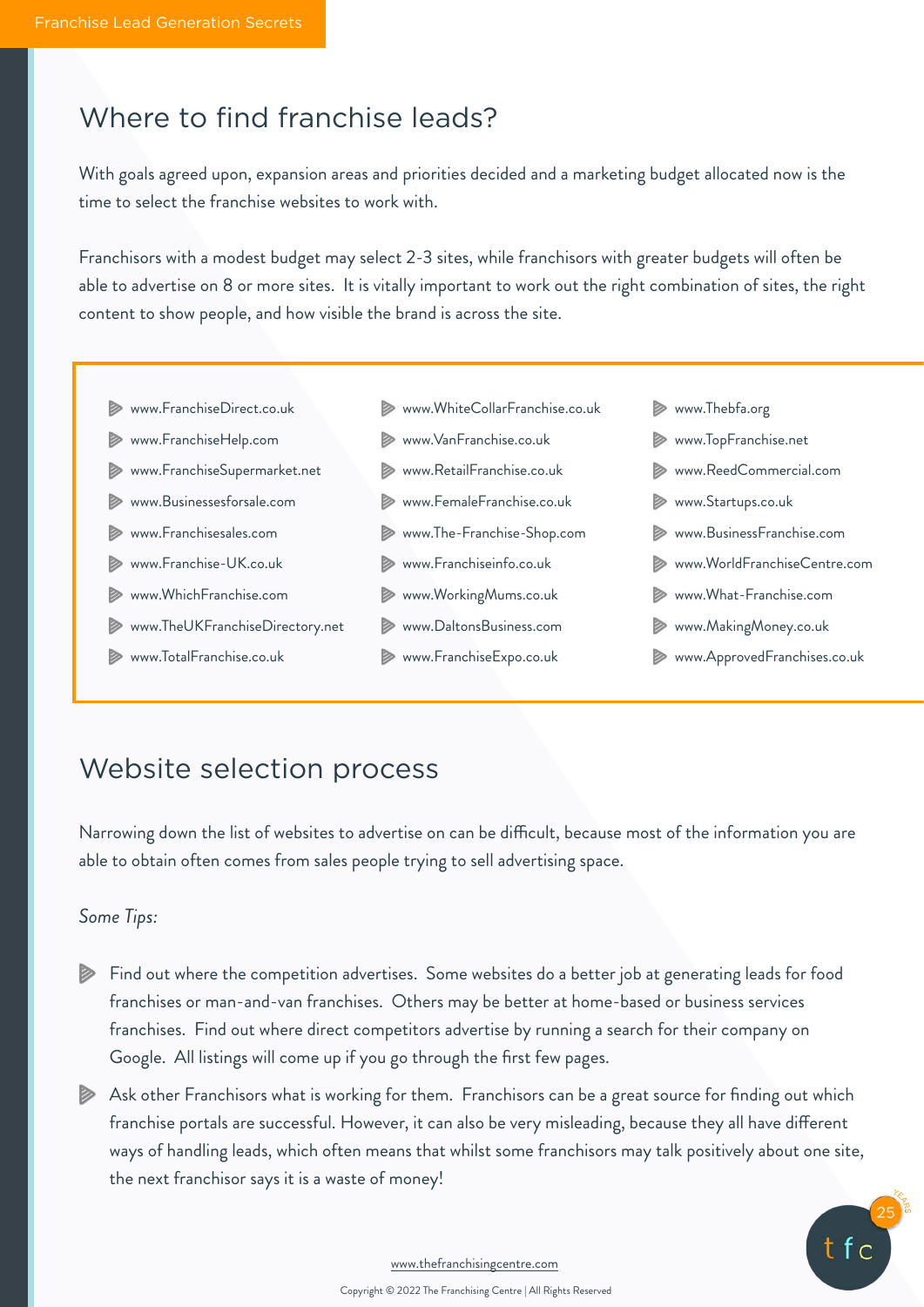# Where to find franchise leads?

With goals agreed upon, expansion areas and priorities decided and a marketing budget allocated now is the time to select the franchise websites to work with.

Franchisors with a modest budget may select 2-3 sites, while franchisors with greater budgets will often be able to advertise on 8 or more sites. It is vitally important to work out the right combination of sites, the right content to show people, and how visible the brand is across the site.

- www.FranchiseDirect.co.uk
- www.FranchiseHelp.com
- www.FranchiseSupermarket.net
- www.Businessesforsale.com
- www.Franchisesales.com
- www.Franchise-UK.co.uk
- www.WhichFranchise.com
- www.TheUKFranchiseDirectory.net
- www.TotalFranchise.co.uk
- www.WhiteCollarFranchise.co.uk
- www.VanFranchise.co.uk
- www.RetailFranchise.co.uk
- www.FemaleFranchise.co.uk
- www.The-Franchise-Shop.com
- www.Franchiseinfo.co.uk
- www.WorkingMums.co.uk
- www.DaltonsBusiness.com
- www.FranchiseExpo.co.uk
- www.Thebfa.org
- www.TopFranchise.net
- www.ReedCommercial.com
- www.Startups.co.uk
- www.BusinessFranchise.com
- www.WorldFranchiseCentre.com
- www.What-Franchise.com
- www.MakingMoney.co.uk
- www.ApprovedFranchises.co.uk

### Website selection process

Narrowing down the list of websites to advertise on can be difficult, because most of the information you are able to obtain often comes from sales people trying to sell advertising space.

#### *Some Tips:*

- Find out where the competition advertises. Some websites do a better job at generating leads for food franchises or man-and-van franchises. Others may be better at home-based or business services franchises. Find out where direct competitors advertise by running a search for their company on Google. All listings will come up if you go through the first few pages.
- Ask other Franchisors what is working for them. Franchisors can be a great source for finding out which franchise portals are successful. However, it can also be very misleading, because they all have different ways of handling leads, which often means that whilst some franchisors may talk positively about one site, the next franchisor says it is a waste of money!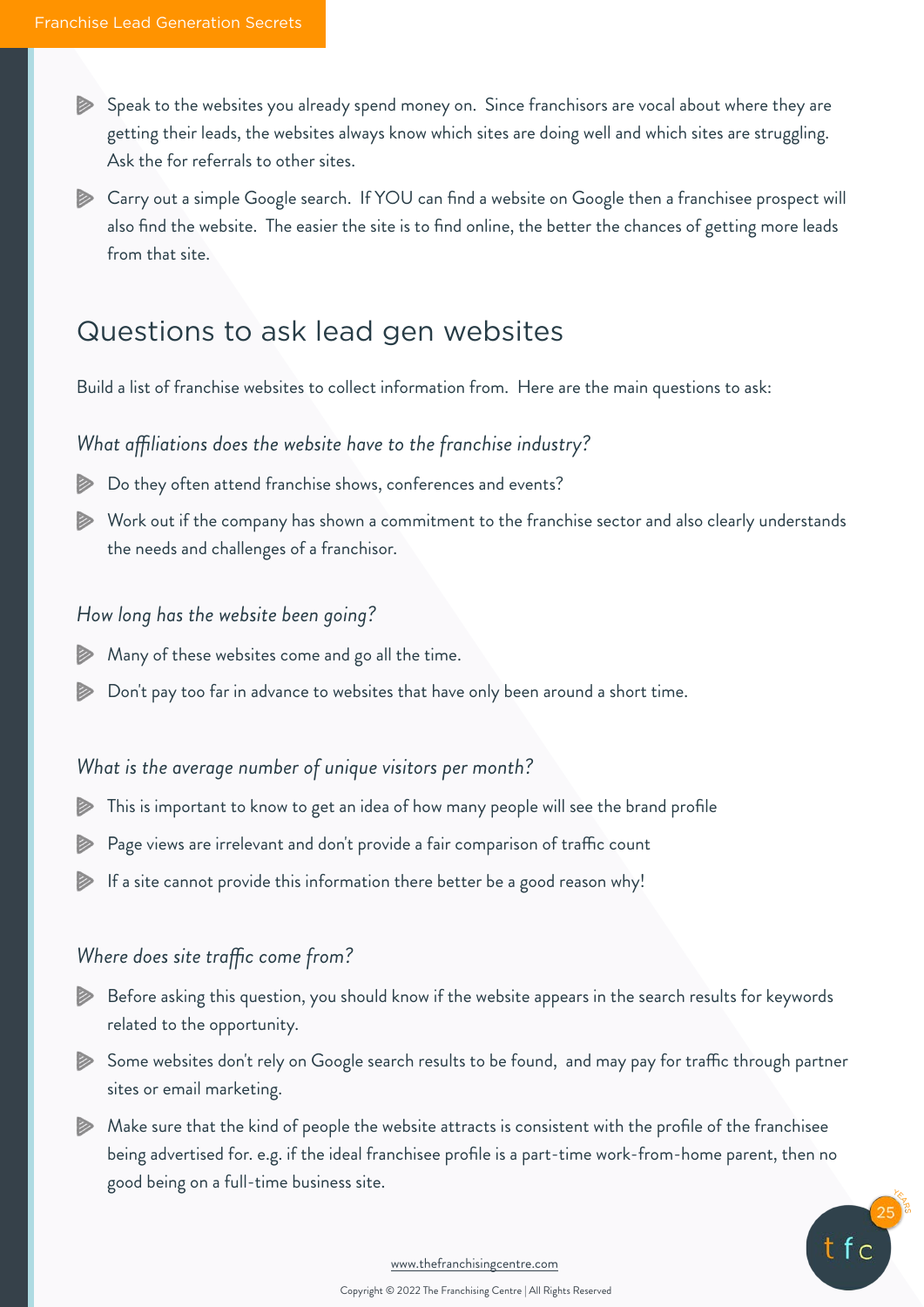- Speak to the websites you already spend money on. Since franchisors are vocal about where they are getting their leads, the websites always know which sites are doing well and which sites are struggling. Ask the for referrals to other sites.
- Carry out a simple Google search. If YOU can find a website on Google then a franchisee prospect will also find the website. The easier the site is to find online, the better the chances of getting more leads from that site.

## Questions to ask lead gen websites

Build a list of franchise websites to collect information from. Here are the main questions to ask:

#### *What affiliations does the website have to the franchise industry?*

- Do they often attend franchise shows, conferences and events?
- Work out if the company has shown a commitment to the franchise sector and also clearly understands the needs and challenges of a franchisor.

#### *How long has the website been going?*

- **Many of these websites come and go all the time.**
- **Don't pay too far in advance to websites that have only been around a short time.**

#### *What is the average number of unique visitors per month?*

- This is important to know to get an idea of how many people will see the brand profile
- Page views are irrelevant and don't provide a fair comparison of traffic count
- $\triangleright$  If a site cannot provide this information there better be a good reason why!

#### *Where does site traffic come from?*

- Before asking this question, you should know if the website appears in the search results for keywords related to the opportunity.
- Some websites don't rely on Google search results to be found, and may pay for traffic through partner sites or email marketing.
- Make sure that the kind of people the website attracts is consistent with the profile of the franchisee being advertised for. e.g. if the ideal franchisee profile is a part-time work-from-home parent, then no good being on a full-time business site.

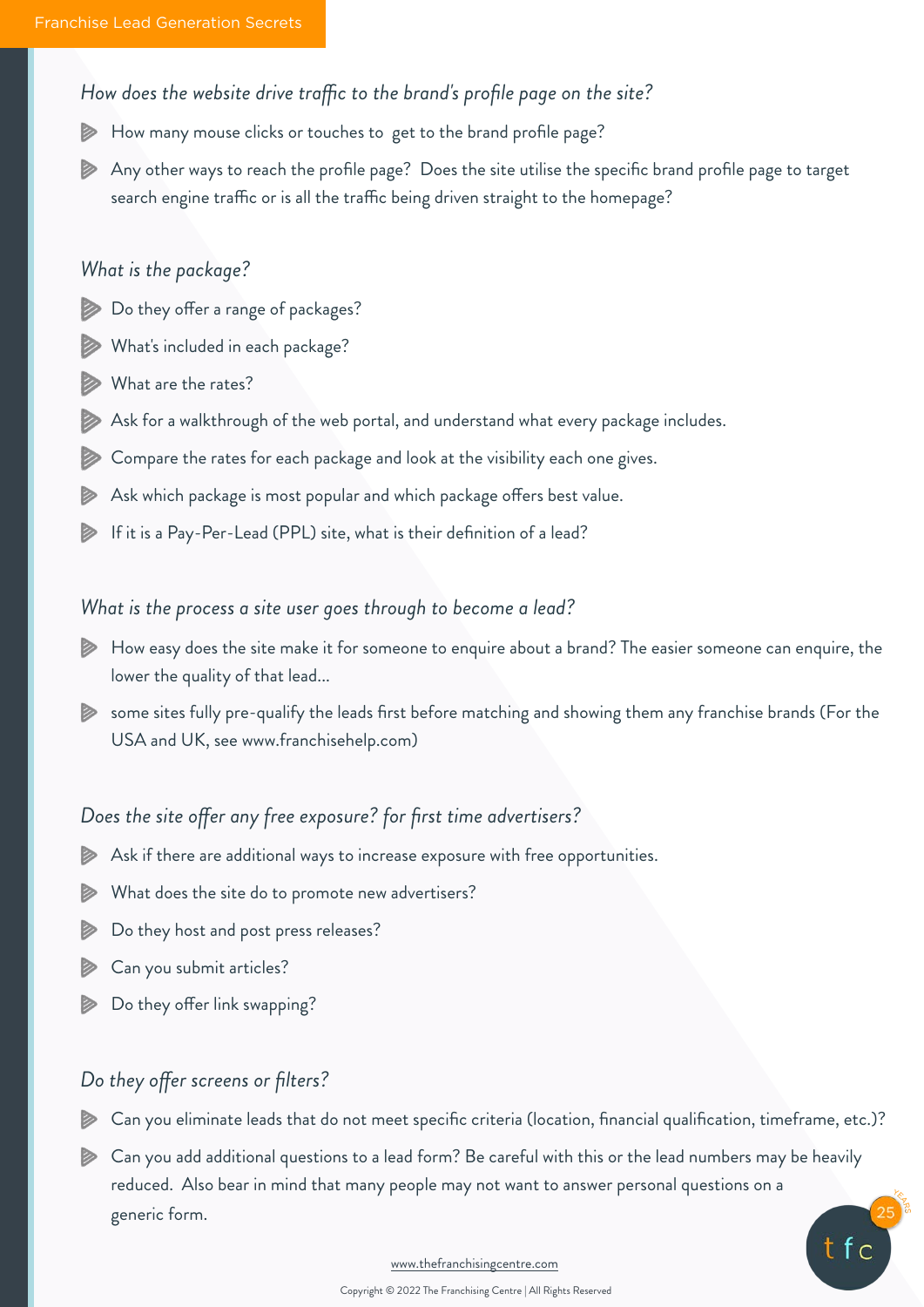#### *How does the website drive traffic to the brand's profile page on the site?*

- How many mouse clicks or touches to get to the brand profile page? D
- Any other ways to reach the profile page? Does the site utilise the specific brand profile page to target search engine traffic or is all the traffic being driven straight to the homepage?

#### *What is the package?*

- Do they offer a range of packages?
- What's included in each package?
- What are the rates?
- Ask for a walkthrough of the web portal, and understand what every package includes.
- **2** Compare the rates for each package and look at the visibility each one gives.
- Ask which package is most popular and which package offers best value.
- If it is a Pay-Per-Lead (PPL) site, what is their definition of a lead? D

#### *What is the process a site user goes through to become a lead?*

- How easy does the site make it for someone to enquire about a brand? The easier someone can enquire, the lower the quality of that lead...
- some sites fully pre-qualify the leads first before matching and showing them any franchise brands (For the USA and UK, see www.franchisehelp.com)

#### *Does the site offer any free exposure? for first time advertisers?*

- Ask if there are additional ways to increase exposure with free opportunities.
- What does the site do to promote new advertisers?
- Do they host and post press releases?
- Can you submit articles?
- Do they offer link swapping?

#### *Do they offer screens or filters?*

- Can you eliminate leads that do not meet specific criteria (location, financial qualification, timeframe, etc.)?
- Can you add additional questions to a lead form? Be careful with this or the lead numbers may be heavily reduced. Also bear in mind that many people may not want to answer personal questions on a generic form.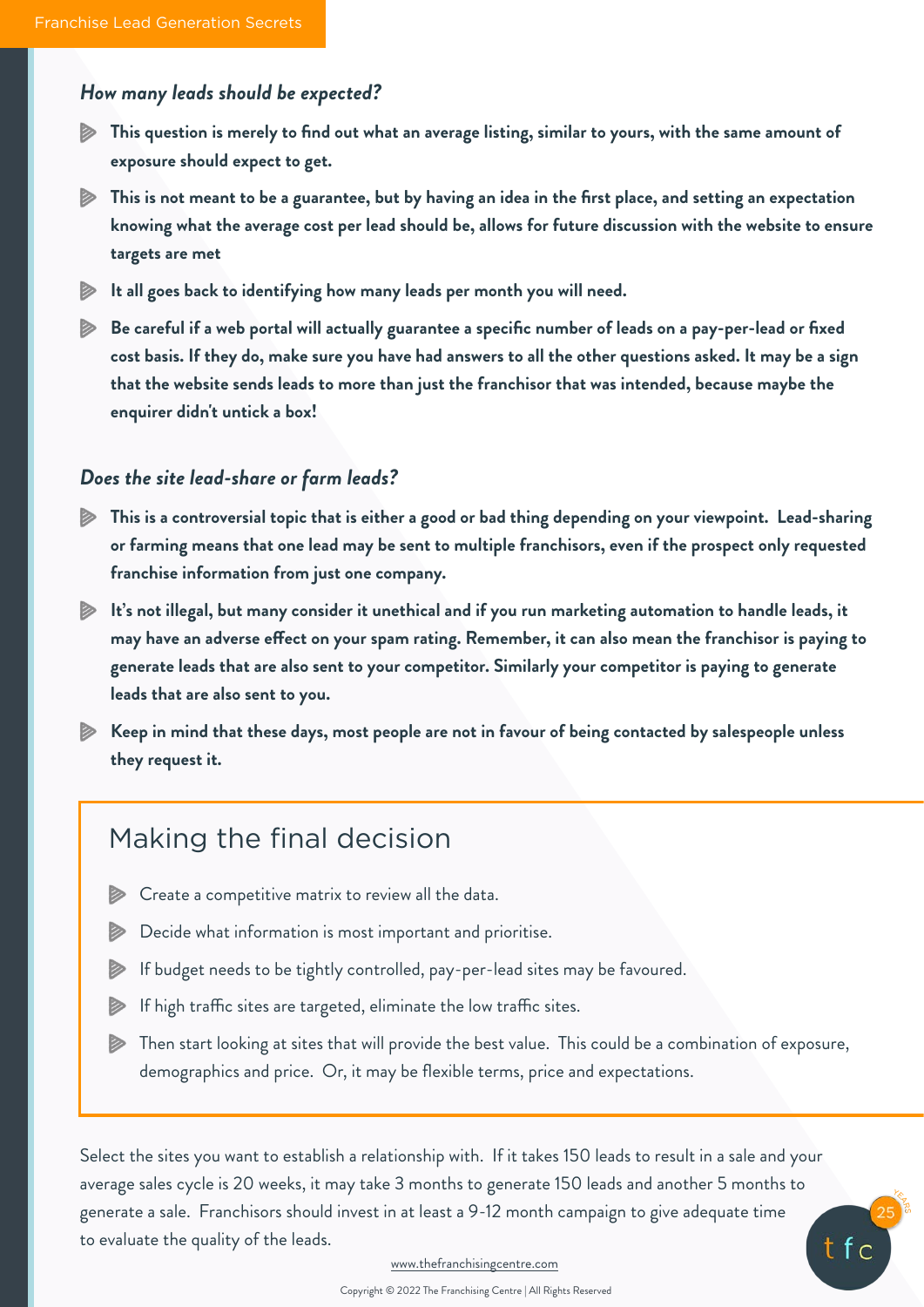#### *How many leads should be expected?*

- **This question is merely to find out what an average listing, similar to yours, with the same amount of exposure should expect to get.**
- **This is not meant to be a guarantee, but by having an idea in the first place, and setting an expectation knowing what the average cost per lead should be, allows for future discussion with the website to ensure targets are met**
- **It all goes back to identifying how many leads per month you will need.**
- **Be careful if a web portal will actually guarantee a specific number of leads on a pay-per-lead or fixed cost basis. If they do, make sure you have had answers to all the other questions asked. It may be a sign that the website sends leads to more than just the franchisor that was intended, because maybe the enquirer didn't untick a box!**

#### *Does the site lead-share or farm leads?*

- **This is a controversial topic that is either a good or bad thing depending on your viewpoint. Lead-sharing or farming means that one lead may be sent to multiple franchisors, even if the prospect only requested franchise information from just one company.**
- **It's not illegal, but many consider it unethical and if you run marketing automation to handle leads, it may have an adverse effect on your spam rating. Remember, it can also mean the franchisor is paying to generate leads that are also sent to your competitor. Similarly your competitor is paying to generate leads that are also sent to you.**
- **Keep in mind that these days, most people are not in favour of being contacted by salespeople unless they request it.**

### Making the final decision

- **Example 2** Create a competitive matrix to review all the data.
- **EXECUTE:** Decide what information is most important and prioritise.
- If budget needs to be tightly controlled, pay-per-lead sites may be favoured.
- $\triangleright$  If high traffic sites are targeted, eliminate the low traffic sites.
- **Then start looking at sites that will provide the best value.** This could be a combination of exposure, demographics and price. Or, it may be flexible terms, price and expectations.

Select the sites you want to establish a relationship with. If it takes 150 leads to result in a sale and your average sales cycle is 20 weeks, it may take 3 months to generate 150 leads and another 5 months to generate a sale. Franchisors should invest in at least a 9-12 month campaign to give adequate time to evaluate the quality of the leads.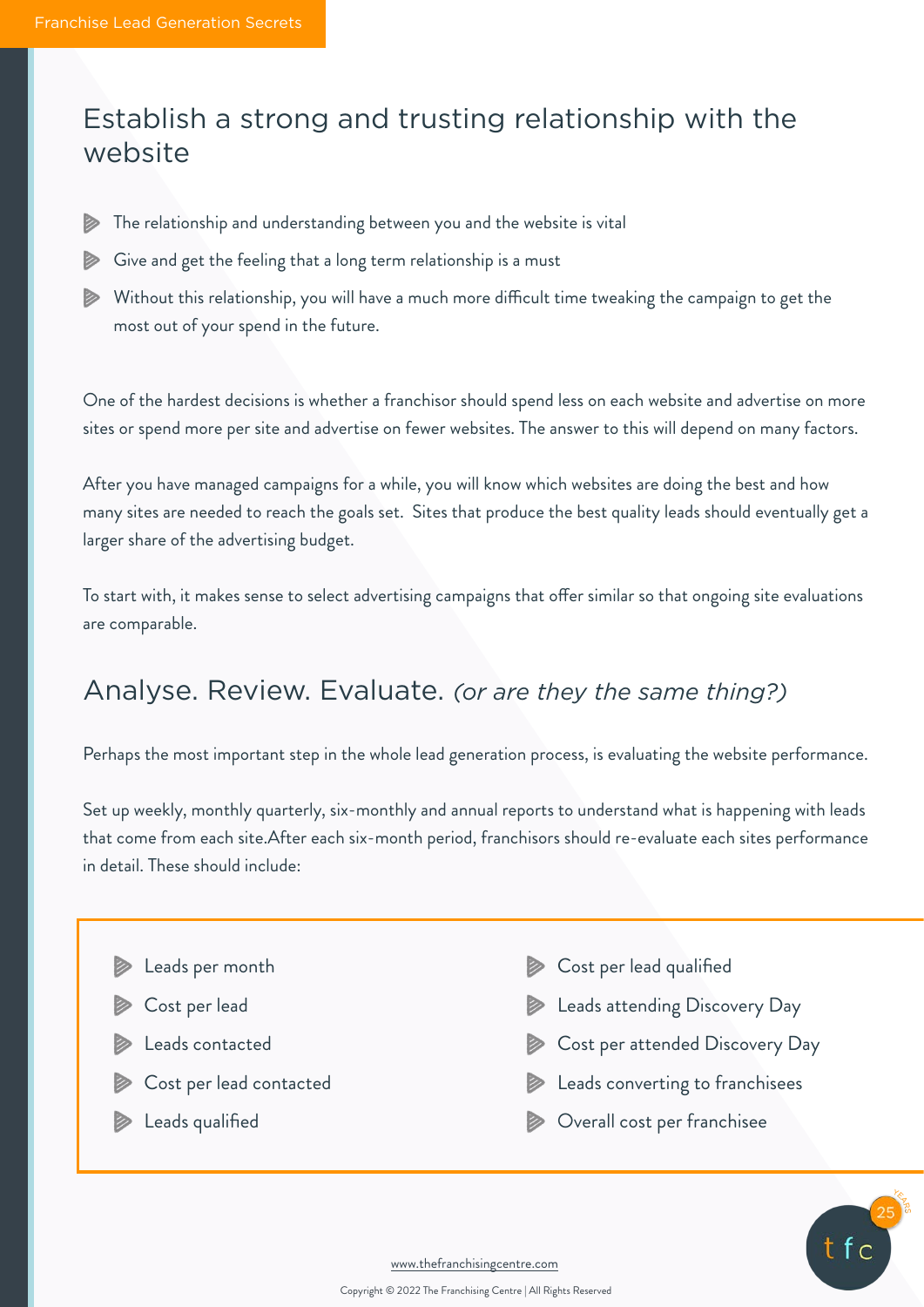## Establish a strong and trusting relationship with the website

- The relationship and understanding between you and the website is vital D
- Sive and get the feeling that a long term relationship is a must
- Without this relationship, you will have a much more difficult time tweaking the campaign to get the most out of your spend in the future.

One of the hardest decisions is whether a franchisor should spend less on each website and advertise on more sites or spend more per site and advertise on fewer websites. The answer to this will depend on many factors.

After you have managed campaigns for a while, you will know which websites are doing the best and how many sites are needed to reach the goals set. Sites that produce the best quality leads should eventually get a larger share of the advertising budget.

To start with, it makes sense to select advertising campaigns that offer similar so that ongoing site evaluations are comparable.

### Analyse. Review. Evaluate. *(or are they the same thing?)*

Perhaps the most important step in the whole lead generation process, is evaluating the website performance.

Set up weekly, monthly quarterly, six-monthly and annual reports to understand what is happening with leads that come from each site.After each six-month period, franchisors should re-evaluate each sites performance in detail. These should include:

- **Executed** Leads per month
- Cost per lead
- **Leads contacted**
- Cost per lead contacted
- **Leads qualified**
- Cost per lead qualified
- **Leads attending Discovery Day**
- **Cost per attended Discovery Day**
- **Example 2 Example 2 Follow** Leads converting to franchisees
- **Overall cost per franchisee**